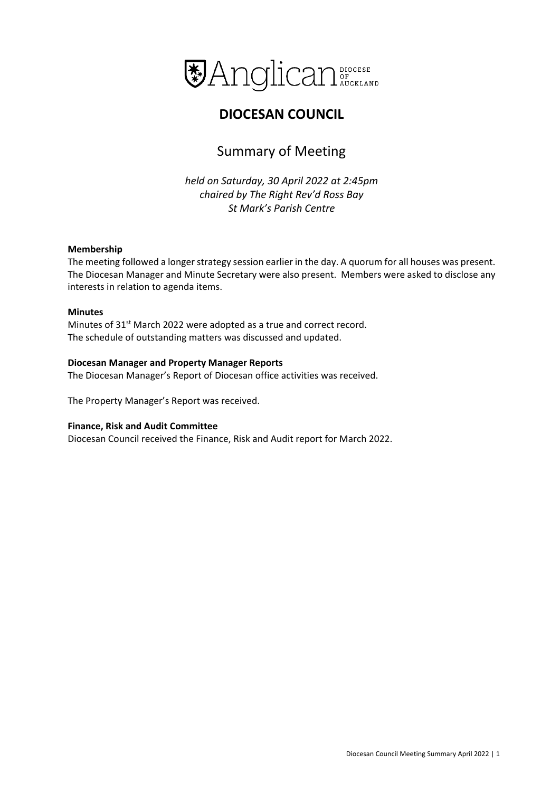

# **DIOCESAN COUNCIL**

# Summary of Meeting

*held on Saturday, 30 April 2022 at 2:45pm chaired by The Right Rev'd Ross Bay St Mark's Parish Centre*

### **Membership**

The meeting followed a longer strategy session earlier in the day. A quorum for all houses was present. The Diocesan Manager and Minute Secretary were also present. Members were asked to disclose any interests in relation to agenda items.

### **Minutes**

Minutes of 31<sup>st</sup> March 2022 were adopted as a true and correct record. The schedule of outstanding matters was discussed and updated.

# **Diocesan Manager and Property Manager Reports**

The Diocesan Manager's Report of Diocesan office activities was received.

The Property Manager's Report was received.

### **Finance, Risk and Audit Committee**

Diocesan Council received the Finance, Risk and Audit report for March 2022.